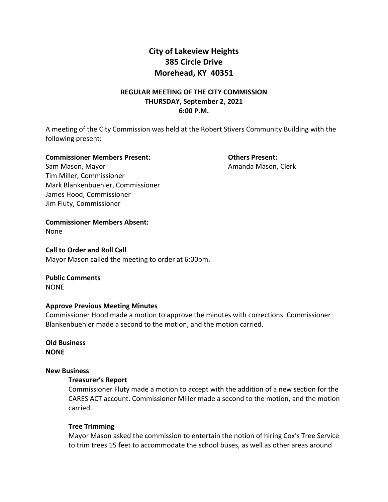# **City of Lakeview Heights 385 Circle Drive Morehead, KY 40351**

# **REGULAR MEETING OF THE CITY COMMISSION THURSDAY, September 2, 2021 6:00 P.M.**

A meeting of the City Commission was held at the Robert Stivers Community Building with the following present:

#### **Commissioner Members Present: Others Present:**

Sam Mason, Mayor **Amanda Mason, Clerk** Amanda Mason, Clerk Tim Miller, Commissioner Mark Blankenbuehler, Commissioner James Hood, Commissioner Jim Fluty, Commissioner

**Commissioner Members Absent:** 

None

#### **Call to Order and Roll Call**

Mayor Mason called the meeting to order at 6:00pm.

#### **Public Comments** NONE

# **Approve Previous Meeting Minutes**

Commissioner Hood made a motion to approve the minutes with corrections. Commissioner Blankenbuehler made a second to the motion, and the motion carried.

# **Old Business NONE**

#### **New Business**

#### **Treasurer's Report**

Commissioner Fluty made a motion to accept with the addition of a new section for the CARES ACT account. Commissioner Miller made a second to the motion, and the motion carried.

# **Tree Trimming**

Mayor Mason asked the commission to entertain the notion of hiring Cox's Tree Service to trim trees 15 feet to accommodate the school buses, as well as other areas around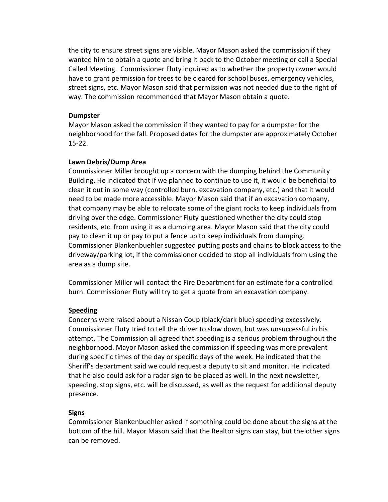the city to ensure street signs are visible. Mayor Mason asked the commission if they wanted him to obtain a quote and bring it back to the October meeting or call a Special Called Meeting. Commissioner Fluty inquired as to whether the property owner would have to grant permission for trees to be cleared for school buses, emergency vehicles, street signs, etc. Mayor Mason said that permission was not needed due to the right of way. The commission recommended that Mayor Mason obtain a quote.

#### **Dumpster**

Mayor Mason asked the commission if they wanted to pay for a dumpster for the neighborhood for the fall. Proposed dates for the dumpster are approximately October 15-22.

#### **Lawn Debris/Dump Area**

Commissioner Miller brought up a concern with the dumping behind the Community Building. He indicated that if we planned to continue to use it, it would be beneficial to clean it out in some way (controlled burn, excavation company, etc.) and that it would need to be made more accessible. Mayor Mason said that if an excavation company, that company may be able to relocate some of the giant rocks to keep individuals from driving over the edge. Commissioner Fluty questioned whether the city could stop residents, etc. from using it as a dumping area. Mayor Mason said that the city could pay to clean it up or pay to put a fence up to keep individuals from dumping. Commissioner Blankenbuehler suggested putting posts and chains to block access to the driveway/parking lot, if the commissioner decided to stop all individuals from using the area as a dump site.

Commissioner Miller will contact the Fire Department for an estimate for a controlled burn. Commissioner Fluty will try to get a quote from an excavation company.

#### **Speeding**

Concerns were raised about a Nissan Coup (black/dark blue) speeding excessively. Commissioner Fluty tried to tell the driver to slow down, but was unsuccessful in his attempt. The Commission all agreed that speeding is a serious problem throughout the neighborhood. Mayor Mason asked the commission if speeding was more prevalent during specific times of the day or specific days of the week. He indicated that the Sheriff's department said we could request a deputy to sit and monitor. He indicated that he also could ask for a radar sign to be placed as well. In the next newsletter, speeding, stop signs, etc. will be discussed, as well as the request for additional deputy presence.

#### **Signs**

Commissioner Blankenbuehler asked if something could be done about the signs at the bottom of the hill. Mayor Mason said that the Realtor signs can stay, but the other signs can be removed.